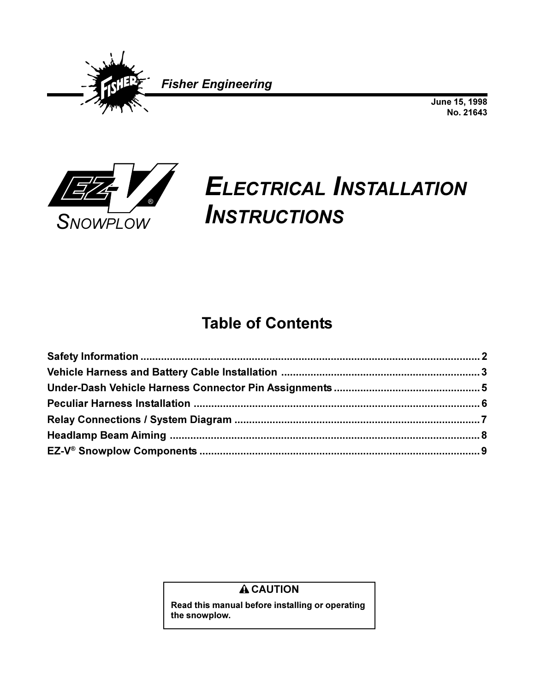

June 15, 1998 No. 21643



# **ELECTRICAL INSTALLATION INSTRUCTIONS**

## **Table of Contents**

#### **A CAUTION**

Read this manual before installing or operating the snowplow.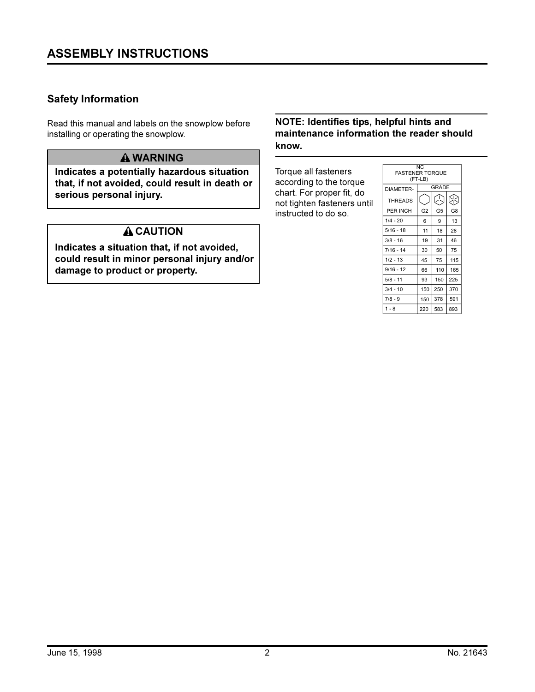#### **Safety Information**

Read this manual and labels on the snowplow before installing or operating the snowplow.

#### **A WARNING**

Indicates a potentially hazardous situation that, if not avoided, could result in death or serious personal injury.

#### **A CAUTION**

Indicates a situation that, if not avoided, could result in minor personal injury and/or damage to product or property.

#### NOTE: Identifies tips, helpful hints and maintenance information the reader should know.

Torque all fasteners according to the torque chart. For proper fit, do not tighten fasteners until instructed to do so.

| NC.<br><b>FASTENER TORQUE</b><br>(FT-LB) |                |                |     |  |
|------------------------------------------|----------------|----------------|-----|--|
| DIAMETER-                                | GRADE          |                |     |  |
| <b>THREADS</b>                           |                | A              | ଊ   |  |
| PER INCH                                 | G <sub>2</sub> | G <sub>5</sub> | G8  |  |
| $1/4 - 20$                               | 6              | 9              | 13  |  |
| $5/16 - 18$                              | 11             | 18             | 28  |  |
| $3/8 - 16$                               | 19             | 31             | 46  |  |
| $7/16 - 14$                              | 30             | 50             | 75  |  |
| $1/2 - 13$                               | 45             | 75             | 115 |  |
| $9/16 - 12$                              | 66             | 110            | 165 |  |
| $5/8 - 11$                               | 93             | 150            | 225 |  |
| $3/4 - 10$                               | 150            | 250            | 370 |  |
| $7/8 - 9$                                | 150            | 378            | 591 |  |
| $1 - 8$                                  | 220            | 583            | 893 |  |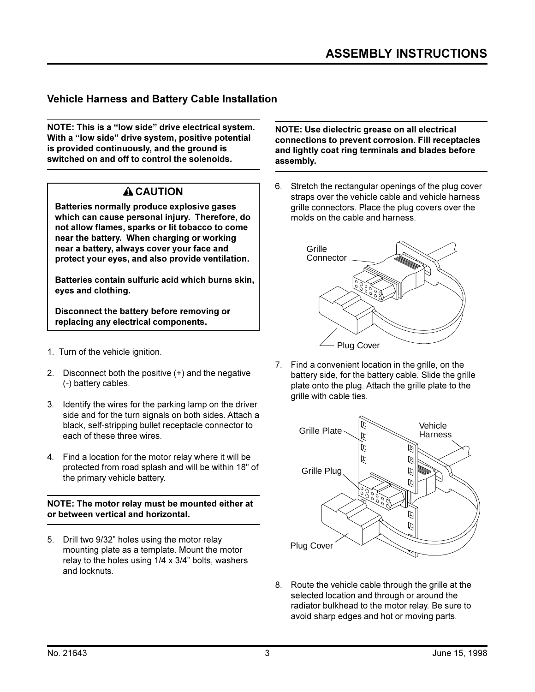#### **Vehicle Harness and Battery Cable Installation**

NOTE: This is a "low side" drive electrical system. With a "low side" drive system, positive potential is provided continuously, and the ground is switched on and off to control the solenoids.

#### **A CAUTION**

Batteries normally produce explosive gases which can cause personal injury. Therefore, do not allow flames, sparks or lit tobacco to come near the battery. When charging or working near a battery, always cover your face and protect your eyes, and also provide ventilation.

Batteries contain sulfuric acid which burns skin. eyes and clothing.

Disconnect the battery before removing or replacing any electrical components.

- 1. Turn of the vehicle ignition.
- 2. Disconnect both the positive (+) and the negative (-) battery cables.
- 3. Identify the wires for the parking lamp on the driver side and for the turn signals on both sides. Attach a black, self-stripping bullet receptacle connector to each of these three wires.
- 4. Find a location for the motor relay where it will be protected from road splash and will be within 18" of the primary vehicle battery.

NOTE: The motor relay must be mounted either at or between vertical and horizontal.

5. Drill two 9/32" holes using the motor relay mounting plate as a template. Mount the motor relay to the holes using  $1/4 \times 3/4$ " bolts, washers and locknuts.

NOTE: Use dielectric grease on all electrical connections to prevent corrosion. Fill receptacles and lightly coat ring terminals and blades before assembly.

6. Stretch the rectangular openings of the plug cover straps over the vehicle cable and vehicle harness grille connectors. Place the plug covers over the molds on the cable and harness.



7. Find a convenient location in the grille, on the battery side, for the battery cable. Slide the grille plate onto the plug. Attach the grille plate to the arille with cable ties.



8. Route the vehicle cable through the grille at the selected location and through or around the radiator bulkhead to the motor relay. Be sure to avoid sharp edges and hot or moving parts.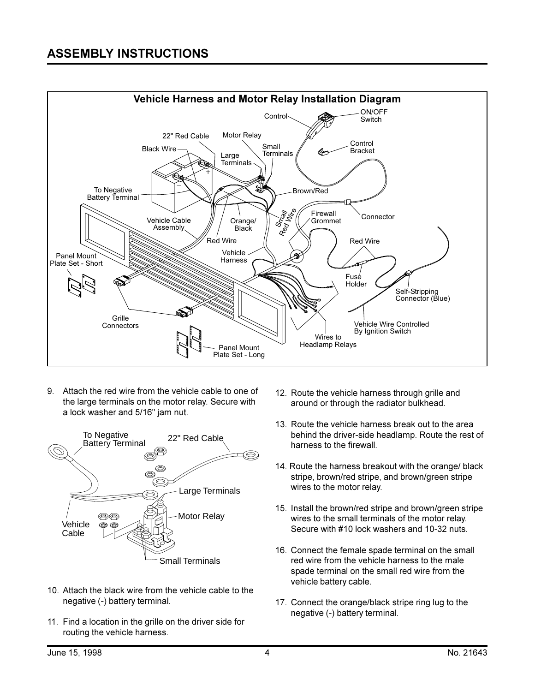

9. Attach the red wire from the vehicle cable to one of the large terminals on the motor relay. Secure with a lock washer and 5/16" jam nut.



- 10. Attach the black wire from the vehicle cable to the negative (-) battery terminal.
- 11. Find a location in the grille on the driver side for routing the vehicle harness.
- 12. Route the vehicle harness through grille and around or through the radiator bulkhead.
- 13. Route the vehicle harness break out to the area behind the driver-side headlamp. Route the rest of harness to the firewall.
- 14. Route the harness breakout with the orange/ black stripe, brown/red stripe, and brown/green stripe wires to the motor relay.
- 15. Install the brown/red stripe and brown/green stripe wires to the small terminals of the motor relay. Secure with #10 lock washers and 10-32 nuts.
- 16. Connect the female spade terminal on the small red wire from the vehicle harness to the male spade terminal on the small red wire from the vehicle battery cable.
- 17. Connect the orange/black stripe ring lug to the negative (-) battery terminal.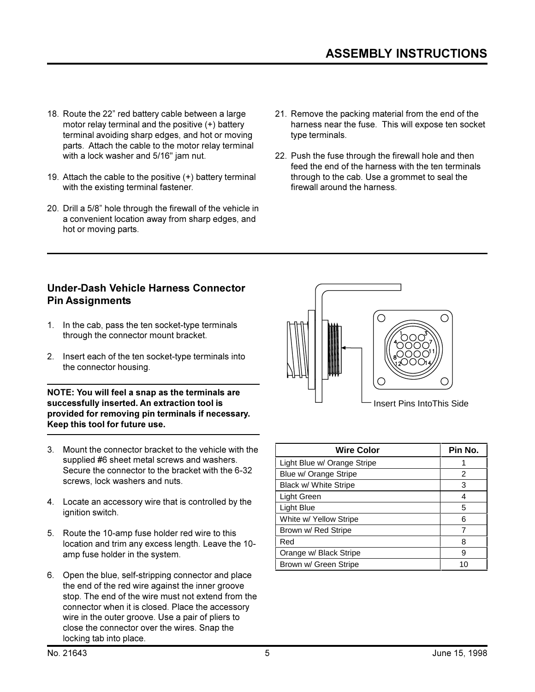- 18. Route the 22" red battery cable between a large motor relay terminal and the positive (+) battery terminal avoiding sharp edges, and hot or moving parts. Attach the cable to the motor relay terminal with a lock washer and 5/16" jam nut.
- 19. Attach the cable to the positive (+) battery terminal with the existing terminal fastener.
- 20. Drill a 5/8" hole through the firewall of the vehicle in a convenient location away from sharp edges, and hot or moving parts.
- 21. Remove the packing material from the end of the harness near the fuse. This will expose ten socket type terminals.
- 22. Push the fuse through the firewall hole and then feed the end of the harness with the ten terminals through to the cab. Use a grommet to seal the firewall around the harness.

#### **Under-Dash Vehicle Harness Connector Pin Assignments**

- 1. In the cab, pass the ten socket-type terminals through the connector mount bracket.
- 2. Insert each of the ten socket-type terminals into the connector housing.

NOTE: You will feel a snap as the terminals are successfully inserted. An extraction tool is provided for removing pin terminals if necessary. Keep this tool for future use.

- 3. Mount the connector bracket to the vehicle with the supplied #6 sheet metal screws and washers. Secure the connector to the bracket with the 6-32 screws, lock washers and nuts.
- 4. Locate an accessory wire that is controlled by the ignition switch.
- 5. Route the 10-amp fuse holder red wire to this location and trim any excess length. Leave the 10amp fuse holder in the system.
- 6. Open the blue, self-stripping connector and place the end of the red wire against the inner groove stop. The end of the wire must not extend from the connector when it is closed. Place the accessory wire in the outer groove. Use a pair of pliers to close the connector over the wires. Snap the locking tab into place.



**Insert Pins IntoThis Side** 

| <b>Wire Color</b>           | Pin No. |
|-----------------------------|---------|
| Light Blue w/ Orange Stripe |         |
| Blue w/ Orange Stripe       | 2       |
| Black w/ White Stripe       | 3       |
| Light Green                 | 4       |
| Light Blue                  | 5       |
| White w/ Yellow Stripe      | 6       |
| Brown w/ Red Stripe         | 7       |
| Red                         | 8       |
| Orange w/ Black Stripe      | 9       |
| Brown w/ Green Stripe       | 10      |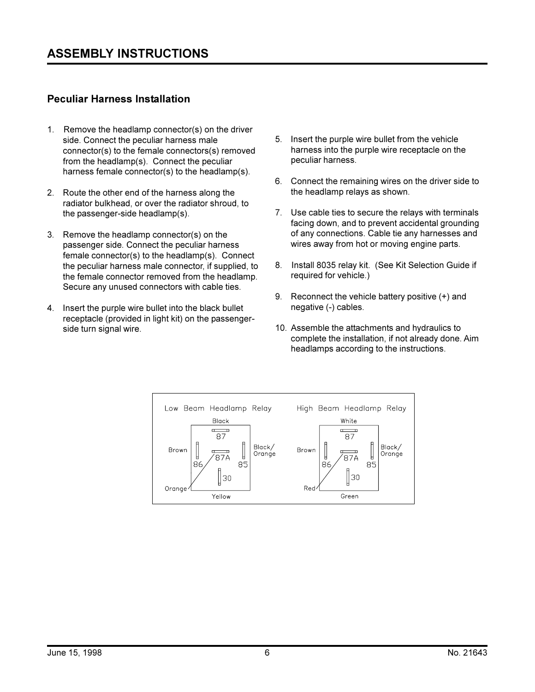#### **Peculiar Harness Installation**

- 1. Remove the headlamp connector(s) on the driver side. Connect the peculiar harness male connector(s) to the female connectors(s) removed from the headlamp(s). Connect the peculiar harness female connector(s) to the headlamp(s).
- 2. Route the other end of the harness along the radiator bulkhead, or over the radiator shroud, to the passenger-side headlamp(s).
- 3. Remove the headlamp connector(s) on the passenger side. Connect the peculiar harness female connector(s) to the headlamp(s). Connect the peculiar harness male connector, if supplied, to the female connector removed from the headlamp. Secure any unused connectors with cable ties.
- 4. Insert the purple wire bullet into the black bullet receptacle (provided in light kit) on the passengerside turn signal wire.
- 5. Insert the purple wire bullet from the vehicle harness into the purple wire receptacle on the peculiar harness.
- 6. Connect the remaining wires on the driver side to the headlamp relays as shown.
- 7. Use cable ties to secure the relays with terminals facing down, and to prevent accidental grounding of any connections. Cable tie any harnesses and wires away from hot or moving engine parts.
- 8. Install 8035 relay kit. (See Kit Selection Guide if required for vehicle.)
- 9. Reconnect the vehicle battery positive (+) and negative (-) cables.
- 10. Assemble the attachments and hydraulics to complete the installation, if not already done. Aim headlamps according to the instructions.

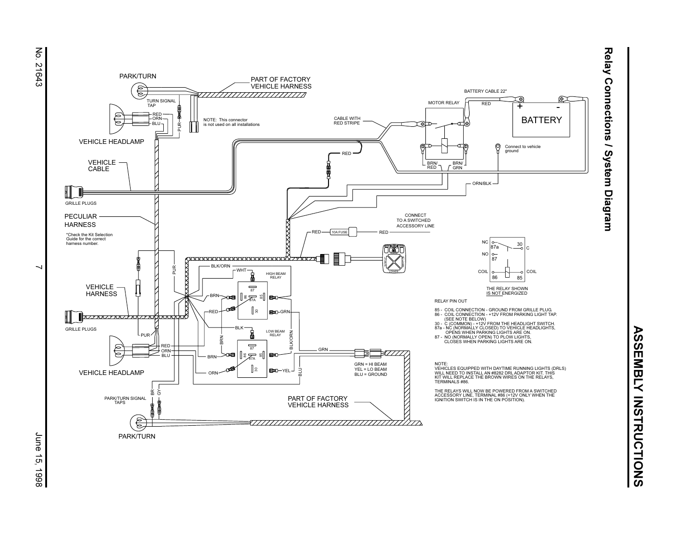



June 15, 1998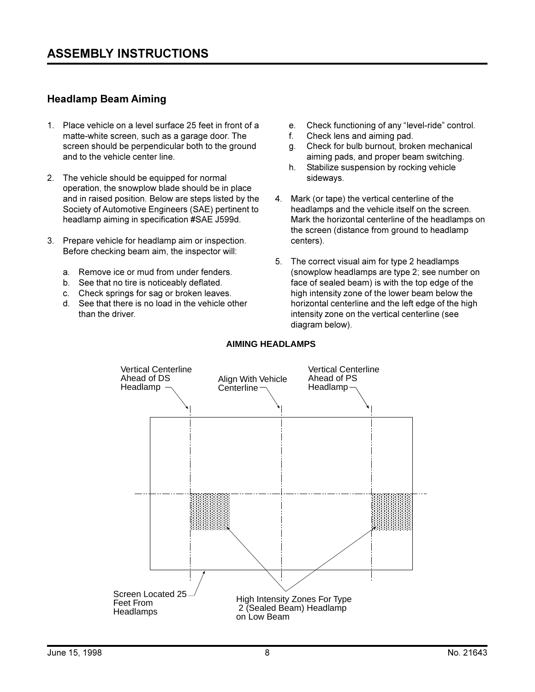#### **Headlamp Beam Aiming**

- 1. Place vehicle on a level surface 25 feet in front of a matte-white screen, such as a garage door. The screen should be perpendicular both to the ground and to the vehicle center line.
- 2. The vehicle should be equipped for normal operation, the snowplow blade should be in place and in raised position. Below are steps listed by the Society of Automotive Engineers (SAE) pertinent to headlamp aiming in specification #SAE J599d.
- 3. Prepare vehicle for headlamp aim or inspection. Before checking beam aim, the inspector will:
	- a. Remove ice or mud from under fenders.
	- b. See that no tire is noticeably deflated.
	- c. Check springs for sag or broken leaves.
	- d. See that there is no load in the vehicle other than the driver.
- e. Check functioning of any "level-ride" control.
- Check lens and aiming pad. f.
- $q_{\text{}}$ Check for bulb burnout, broken mechanical aiming pads, and proper beam switching.
- $h_{\cdot}$ Stabilize suspension by rocking vehicle sideways.
- 4. Mark (or tape) the vertical centerline of the headlamps and the vehicle itself on the screen. Mark the horizontal centerline of the headlamps on the screen (distance from ground to headlamp centers).
- 5. The correct visual aim for type 2 headlamps (snowplow headlamps are type 2; see number on face of sealed beam) is with the top edge of the high intensity zone of the lower beam below the horizontal centerline and the left edge of the high intensity zone on the vertical centerline (see diagram below).



#### **AIMING HEADLAMPS**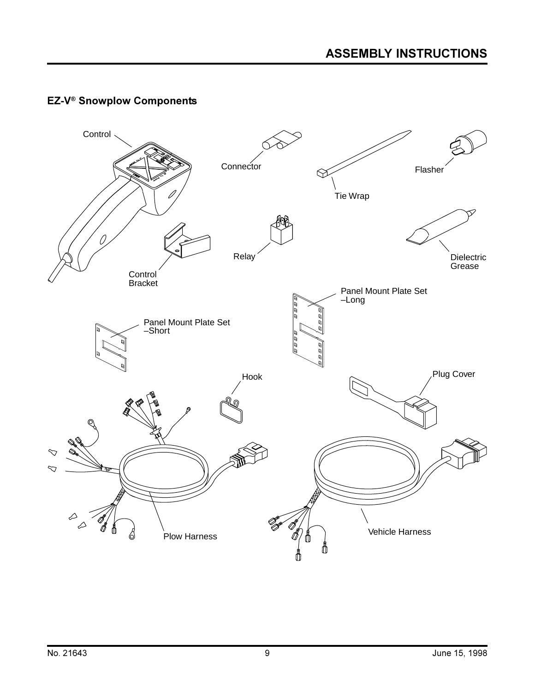### **EZ-V<sup>®</sup> Snowplow Components**